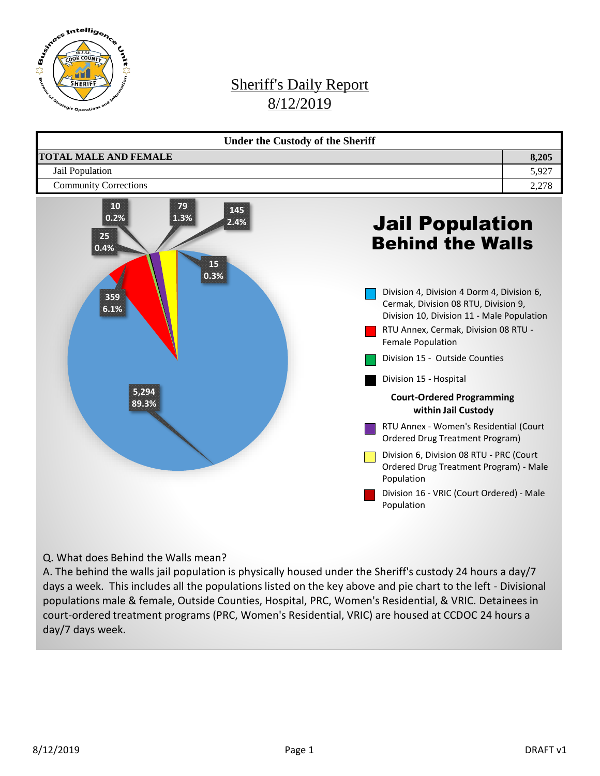

## Sheriff's Daily Report 8/12/2019



Q. What does Behind the Walls mean?

A. The behind the walls jail population is physically housed under the Sheriff's custody 24 hours a day/7 days a week. This includes all the populations listed on the key above and pie chart to the left - Divisional populations male & female, Outside Counties, Hospital, PRC, Women's Residential, & VRIC. Detainees in court-ordered treatment programs (PRC, Women's Residential, VRIC) are housed at CCDOC 24 hours a day/7 days week.